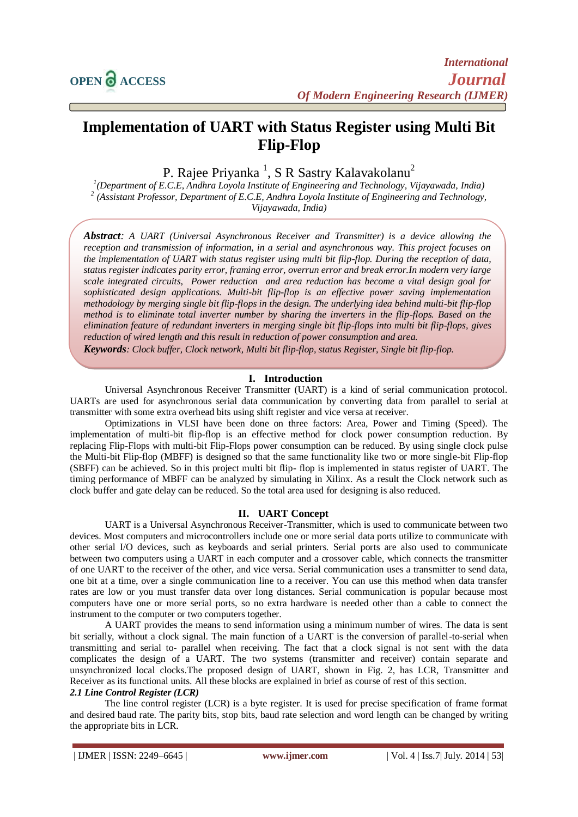# **Implementation of UART with Status Register using Multi Bit Flip-Flop**

P. Rajee Priyanka <sup>1</sup>, S R Sastry Kalavakolanu<sup>2</sup>

*1 (Department of E.C.E, Andhra Loyola Institute of Engineering and Technology, Vijayawada, India) 2 (Assistant Professor, Department of E.C.E, Andhra Loyola Institute of Engineering and Technology, Vijayawada, India)*

*Abstract: A UART (Universal Asynchronous Receiver and Transmitter) is a device allowing the reception and transmission of information, in a serial and asynchronous way. This project focuses on the implementation of UART with status register using multi bit flip-flop. During the reception of data, status register indicates parity error, framing error, overrun error and break error.In modern very large scale integrated circuits, Power reduction and area reduction has become a vital design goal for sophisticated design applications. Multi-bit flip-flop is an effective power saving implementation methodology by merging single bit flip-flops in the design. The underlying idea behind multi-bit flip-flop method is to eliminate total inverter number by sharing the inverters in the flip-flops. Based on the elimination feature of redundant inverters in merging single bit flip-flops into multi bit flip-flops, gives reduction of wired length and this result in reduction of power consumption and area.*

*Keywords: Clock buffer, Clock network, Multi bit flip-flop, status Register, Single bit flip-flop.*

#### **I. Introduction**

Universal Asynchronous Receiver Transmitter (UART) is a kind of serial communication protocol. UARTs are used for asynchronous serial data communication by converting data from parallel to serial at transmitter with some extra overhead bits using shift register and vice versa at receiver.

Optimizations in VLSI have been done on three factors: Area, Power and Timing (Speed). The implementation of multi-bit flip-flop is an effective method for clock power consumption reduction. By replacing Flip-Flops with multi-bit Flip-Flops power consumption can be reduced. By using single clock pulse the Multi-bit Flip-flop (MBFF) is designed so that the same functionality like two or more single-bit Flip-flop (SBFF) can be achieved. So in this project multi bit flip- flop is implemented in status register of UART. The timing performance of MBFF can be analyzed by simulating in Xilinx. As a result the Clock network such as clock buffer and gate delay can be reduced. So the total area used for designing is also reduced.

#### **II. UART Concept**

UART is a Universal Asynchronous Receiver-Transmitter, which is used to communicate between two devices. Most computers and microcontrollers include one or more serial data ports utilize to communicate with other serial I/O devices, such as keyboards and serial printers. Serial ports are also used to communicate between two computers using a UART in each computer and a crossover cable, which connects the transmitter of one UART to the receiver of the other, and vice versa. Serial communication uses a transmitter to send data, one bit at a time, over a single communication line to a receiver. You can use this method when data transfer rates are low or you must transfer data over long distances. Serial communication is popular because most computers have one or more serial ports, so no extra hardware is needed other than a cable to connect the instrument to the computer or two computers together.

A UART provides the means to send information using a minimum number of wires. The data is sent bit serially, without a clock signal. The main function of a UART is the conversion of parallel-to-serial when transmitting and serial to- parallel when receiving. The fact that a clock signal is not sent with the data complicates the design of a UART. The two systems (transmitter and receiver) contain separate and unsynchronized local clocks.The proposed design of UART, shown in Fig. 2, has LCR, Transmitter and Receiver as its functional units. All these blocks are explained in brief as course of rest of this section.

#### *2.1 Line Control Register (LCR)*

The line control register (LCR) is a byte register. It is used for precise specification of frame format and desired baud rate. The parity bits, stop bits, baud rate selection and word length can be changed by writing the appropriate bits in LCR.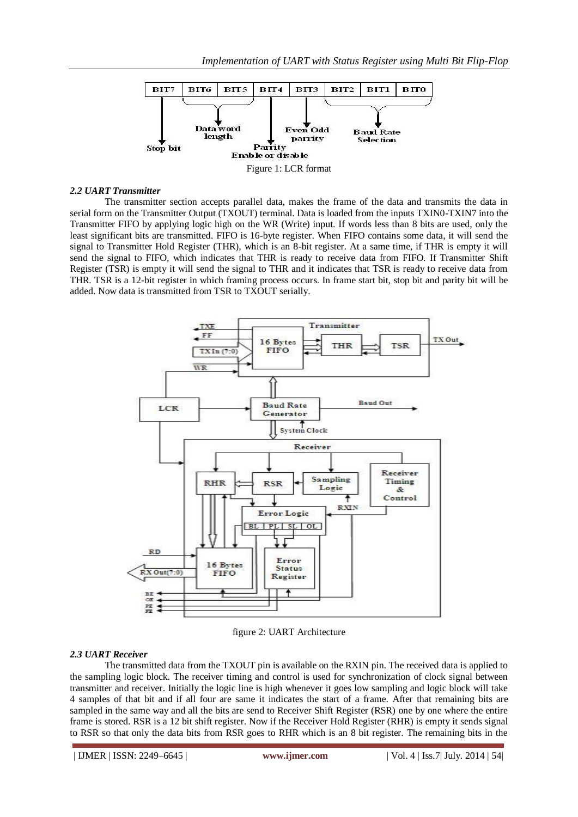

#### *2.2 UART Transmitter*

The transmitter section accepts parallel data, makes the frame of the data and transmits the data in serial form on the Transmitter Output (TXOUT) terminal. Data is loaded from the inputs TXIN0-TXIN7 into the Transmitter FIFO by applying logic high on the WR (Write) input. If words less than 8 bits are used, only the least significant bits are transmitted. FIFO is 16-byte register. When FIFO contains some data, it will send the signal to Transmitter Hold Register (THR), which is an 8-bit register. At a same time, if THR is empty it will send the signal to FIFO, which indicates that THR is ready to receive data from FIFO. If Transmitter Shift Register (TSR) is empty it will send the signal to THR and it indicates that TSR is ready to receive data from THR. TSR is a 12-bit register in which framing process occurs. In frame start bit, stop bit and parity bit will be added. Now data is transmitted from TSR to TXOUT serially.



figure 2: UART Architecture

## *2.3 UART Receiver*

The transmitted data from the TXOUT pin is available on the RXIN pin. The received data is applied to the sampling logic block. The receiver timing and control is used for synchronization of clock signal between transmitter and receiver. Initially the logic line is high whenever it goes low sampling and logic block will take 4 samples of that bit and if all four are same it indicates the start of a frame. After that remaining bits are sampled in the same way and all the bits are send to Receiver Shift Register (RSR) one by one where the entire frame is stored. RSR is a 12 bit shift register. Now if the Receiver Hold Register (RHR) is empty it sends signal to RSR so that only the data bits from RSR goes to RHR which is an 8 bit register. The remaining bits in the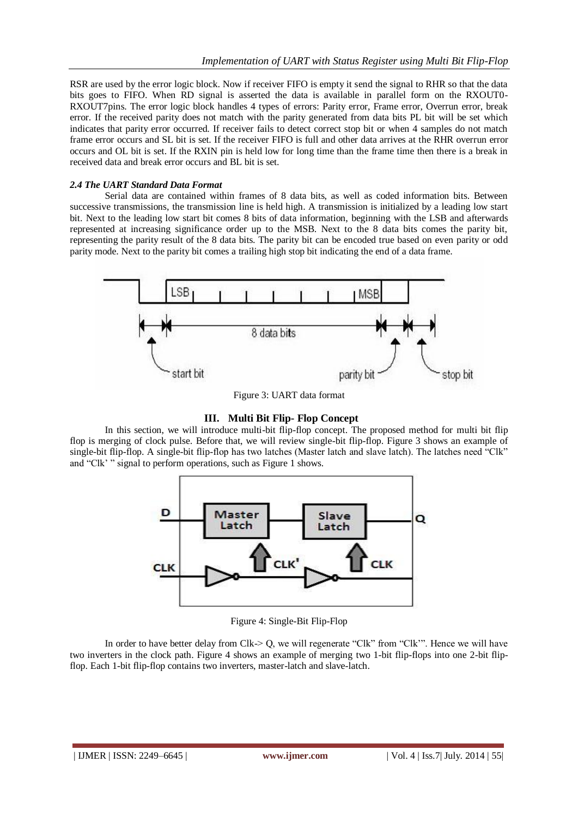RSR are used by the error logic block. Now if receiver FIFO is empty it send the signal to RHR so that the data bits goes to FIFO. When RD signal is asserted the data is available in parallel form on the RXOUT0- RXOUT7pins. The error logic block handles 4 types of errors: Parity error, Frame error, Overrun error, break error. If the received parity does not match with the parity generated from data bits PL bit will be set which indicates that parity error occurred. If receiver fails to detect correct stop bit or when 4 samples do not match frame error occurs and SL bit is set. If the receiver FIFO is full and other data arrives at the RHR overrun error occurs and OL bit is set. If the RXIN pin is held low for long time than the frame time then there is a break in received data and break error occurs and BL bit is set.

#### *2.4 The UART Standard Data Format*

Serial data are contained within frames of 8 data bits, as well as coded information bits. Between successive transmissions, the transmission line is held high. A transmission is initialized by a leading low start bit. Next to the leading low start bit comes 8 bits of data information, beginning with the LSB and afterwards represented at increasing significance order up to the MSB. Next to the 8 data bits comes the parity bit, representing the parity result of the 8 data bits. The parity bit can be encoded true based on even parity or odd parity mode. Next to the parity bit comes a trailing high stop bit indicating the end of a data frame.



Figure 3: UART data format

## **III. Multi Bit Flip- Flop Concept**

In this section, we will introduce multi-bit flip-flop concept. The proposed method for multi bit flip flop is merging of clock pulse. Before that, we will review single-bit flip-flop. Figure 3 shows an example of single-bit flip-flop. A single-bit flip-flop has two latches (Master latch and slave latch). The latches need "Clk" and "Clk' " signal to perform operations, such as Figure 1 shows.



Figure 4: Single-Bit Flip-Flop

In order to have better delay from Clk-> Q, we will regenerate "Clk" from "Clk"". Hence we will have two inverters in the clock path. Figure 4 shows an example of merging two 1-bit flip-flops into one 2-bit flipflop. Each 1-bit flip-flop contains two inverters, master-latch and slave-latch.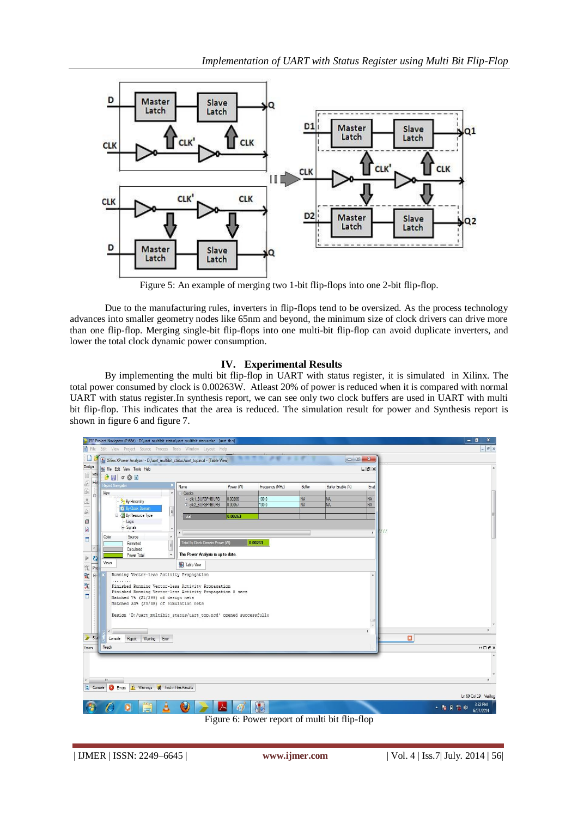

Figure 5: An example of merging two 1-bit flip-flops into one 2-bit flip-flop.

Due to the manufacturing rules, inverters in flip-flops tend to be oversized. As the process technology advances into smaller geometry nodes like 65nm and beyond, the minimum size of clock drivers can drive more than one flip-flop. Merging single-bit flip-flops into one multi-bit flip-flop can avoid duplicate inverters, and lower the total clock dynamic power consumption.

## **IV. Experimental Results**

By implementing the multi bit flip-flop in UART with status register, it is simulated in Xilinx. The total power consumed by clock is 0.00263W. Atleast 20% of power is reduced when it is compared with normal UART with status register.In synthesis report, we can see only two clock buffers are used in UART with multi bit flip-flop. This indicates that the area is reduced. The simulation result for power and Synthesis report is shown in figure 6 and figure 7.



Figure 6: Power report of multi bit flip-flop